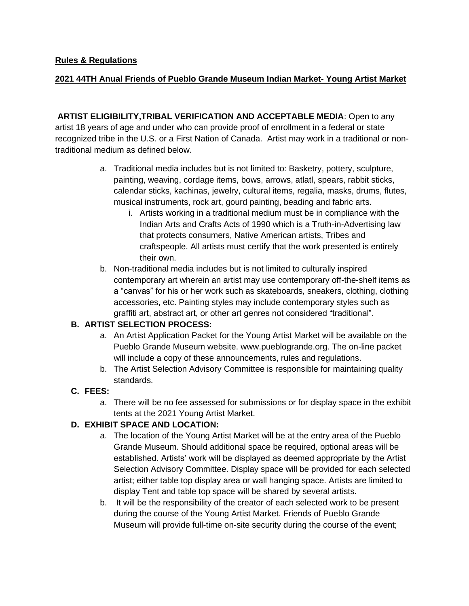#### **2021 44TH Anual Friends of Pueblo Grande Museum Indian Market- Young Artist Market**

**ARTIST ELIGIBILITY,TRIBAL VERIFICATION AND ACCEPTABLE MEDIA**: Open to any artist 18 years of age and under who can provide proof of enrollment in a federal or state recognized tribe in the U.S. or a First Nation of Canada. Artist may work in a traditional or nontraditional medium as defined below.

- a. Traditional media includes but is not limited to: Basketry, pottery, sculpture, painting, weaving, cordage items, bows, arrows, atlatl, spears, rabbit sticks, calendar sticks, kachinas, jewelry, cultural items, regalia, masks, drums, flutes, musical instruments, rock art, gourd painting, beading and fabric arts.
	- i. Artists working in a traditional medium must be in compliance with the Indian Arts and Crafts Acts of 1990 which is a Truth-in-Advertising law that protects consumers, Native American artists, Tribes and craftspeople. All artists must certify that the work presented is entirely their own.
- b. Non-traditional media includes but is not limited to culturally inspired contemporary art wherein an artist may use contemporary off-the-shelf items as a "canvas" for his or her work such as skateboards, sneakers, clothing, clothing accessories, etc. Painting styles may include contemporary styles such as graffiti art, abstract art, or other art genres not considered "traditional".

#### **B. ARTIST SELECTION PROCESS:**

- a. An Artist Application Packet for the Young Artist Market will be available on the Pueblo Grande Museum website. www.pueblogrande.org. The on-line packet will include a copy of these announcements, rules and regulations.
- b. The Artist Selection Advisory Committee is responsible for maintaining quality standards.

### **C. FEES:**

a. There will be no fee assessed for submissions or for display space in the exhibit tents at the 2021 Young Artist Market.

### **D. EXHIBIT SPACE AND LOCATION:**

- a. The location of the Young Artist Market will be at the entry area of the Pueblo Grande Museum. Should additional space be required, optional areas will be established. Artists' work will be displayed as deemed appropriate by the Artist Selection Advisory Committee. Display space will be provided for each selected artist; either table top display area or wall hanging space. Artists are limited to display Tent and table top space will be shared by several artists.
- b. It will be the responsibility of the creator of each selected work to be present during the course of the Young Artist Market. Friends of Pueblo Grande Museum will provide full-time on-site security during the course of the event;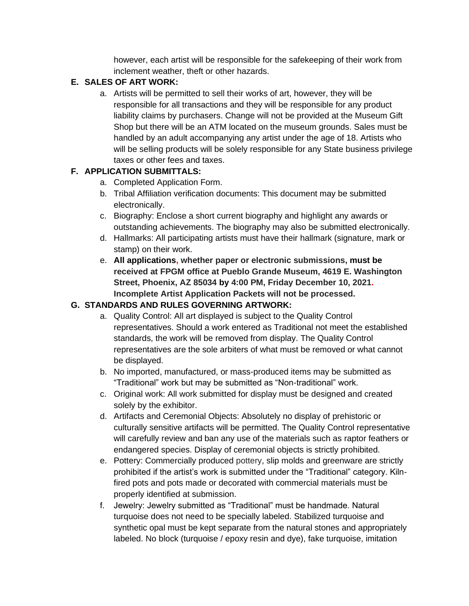however, each artist will be responsible for the safekeeping of their work from inclement weather, theft or other hazards.

### **E. SALES OF ART WORK:**

a. Artists will be permitted to sell their works of art, however, they will be responsible for all transactions and they will be responsible for any product liability claims by purchasers. Change will not be provided at the Museum Gift Shop but there will be an ATM located on the museum grounds. Sales must be handled by an adult accompanying any artist under the age of 18. Artists who will be selling products will be solely responsible for any State business privilege taxes or other fees and taxes.

## **F. APPLICATION SUBMITTALS:**

- a. Completed Application Form.
- b. Tribal Affiliation verification documents: This document may be submitted electronically.
- c. Biography: Enclose a short current biography and highlight any awards or outstanding achievements. The biography may also be submitted electronically.
- d. Hallmarks: All participating artists must have their hallmark (signature, mark or stamp) on their work.
- e. **All applications, whether paper or electronic submissions, must be received at FPGM office at Pueblo Grande Museum, 4619 E. Washington Street, Phoenix, AZ 85034 by 4:00 PM, Friday December 10, 2021. Incomplete Artist Application Packets will not be processed.**

# **G. STANDARDS AND RULES GOVERNING ARTWORK:**

- a. Quality Control: All art displayed is subject to the Quality Control representatives. Should a work entered as Traditional not meet the established standards, the work will be removed from display. The Quality Control representatives are the sole arbiters of what must be removed or what cannot be displayed.
- b. No imported, manufactured, or mass-produced items may be submitted as "Traditional" work but may be submitted as "Non-traditional" work.
- c. Original work: All work submitted for display must be designed and created solely by the exhibitor.
- d. Artifacts and Ceremonial Objects: Absolutely no display of prehistoric or culturally sensitive artifacts will be permitted. The Quality Control representative will carefully review and ban any use of the materials such as raptor feathers or endangered species. Display of ceremonial objects is strictly prohibited.
- e. Pottery: Commercially produced pottery, slip molds and greenware are strictly prohibited if the artist's work is submitted under the "Traditional" category. Kilnfired pots and pots made or decorated with commercial materials must be properly identified at submission.
- f. Jewelry: Jewelry submitted as "Traditional" must be handmade. Natural turquoise does not need to be specially labeled. Stabilized turquoise and synthetic opal must be kept separate from the natural stones and appropriately labeled. No block (turquoise / epoxy resin and dye), fake turquoise, imitation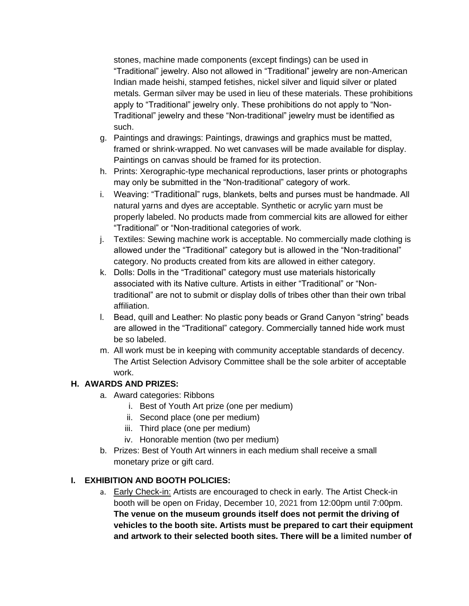stones, machine made components (except findings) can be used in "Traditional" jewelry. Also not allowed in "Traditional" jewelry are non-American Indian made heishi, stamped fetishes, nickel silver and liquid silver or plated metals. German silver may be used in lieu of these materials. These prohibitions apply to "Traditional" jewelry only. These prohibitions do not apply to "Non-Traditional" jewelry and these "Non-traditional" jewelry must be identified as such.

- g. Paintings and drawings: Paintings, drawings and graphics must be matted, framed or shrink-wrapped. No wet canvases will be made available for display. Paintings on canvas should be framed for its protection.
- h. Prints: Xerographic-type mechanical reproductions, laser prints or photographs may only be submitted in the "Non-traditional" category of work.
- i. Weaving: "Traditional" rugs, blankets, belts and purses must be handmade. All natural yarns and dyes are acceptable. Synthetic or acrylic yarn must be properly labeled. No products made from commercial kits are allowed for either "Traditional" or "Non-traditional categories of work.
- j. Textiles: Sewing machine work is acceptable. No commercially made clothing is allowed under the "Traditional" category but is allowed in the "Non-traditional" category. No products created from kits are allowed in either category.
- k. Dolls: Dolls in the "Traditional" category must use materials historically associated with its Native culture. Artists in either "Traditional" or "Nontraditional" are not to submit or display dolls of tribes other than their own tribal affiliation.
- l. Bead, quill and Leather: No plastic pony beads or Grand Canyon "string" beads are allowed in the "Traditional" category. Commercially tanned hide work must be so labeled.
- m. All work must be in keeping with community acceptable standards of decency. The Artist Selection Advisory Committee shall be the sole arbiter of acceptable work.

### **H. AWARDS AND PRIZES:**

- a. Award categories: Ribbons
	- i. Best of Youth Art prize (one per medium)
	- ii. Second place (one per medium)
	- iii. Third place (one per medium)
	- iv. Honorable mention (two per medium)
- b. Prizes: Best of Youth Art winners in each medium shall receive a small monetary prize or gift card.

# **I. EXHIBITION AND BOOTH POLICIES:**

a. Early Check-in: Artists are encouraged to check in early. The Artist Check-in booth will be open on Friday, December 10, 2021 from 12:00pm until 7:00pm. **The venue on the museum grounds itself does not permit the driving of vehicles to the booth site. Artists must be prepared to cart their equipment and artwork to their selected booth sites. There will be a limited number of**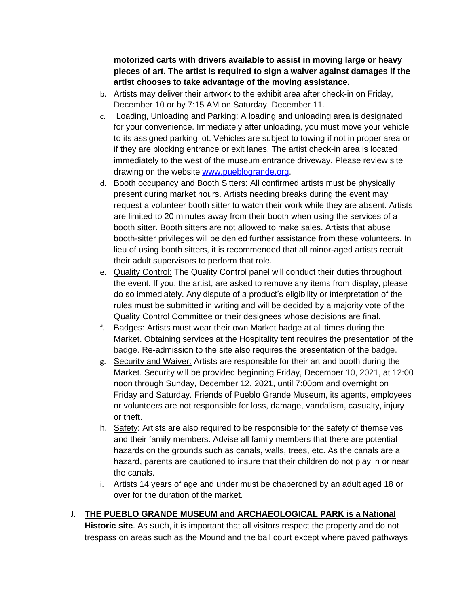**motorized carts with drivers available to assist in moving large or heavy pieces of art. The artist is required to sign a waiver against damages if the artist chooses to take advantage of the moving assistance.** 

- b. Artists may deliver their artwork to the exhibit area after check-in on Friday, December 10 or by 7:15 AM on Saturday, December 11.
- c. Loading, Unloading and Parking: A loading and unloading area is designated for your convenience. Immediately after unloading, you must move your vehicle to its assigned parking lot. Vehicles are subject to towing if not in proper area or if they are blocking entrance or exit lanes. The artist check-in area is located immediately to the west of the museum entrance driveway. Please review site drawing on the website [www.pueblogrande.org.](http://www.pueblogrande.org/)
- d. Booth occupancy and Booth Sitters: All confirmed artists must be physically present during market hours. Artists needing breaks during the event may request a volunteer booth sitter to watch their work while they are absent. Artists are limited to 20 minutes away from their booth when using the services of a booth sitter. Booth sitters are not allowed to make sales. Artists that abuse booth-sitter privileges will be denied further assistance from these volunteers. In lieu of using booth sitters, it is recommended that all minor-aged artists recruit their adult supervisors to perform that role.
- e. Quality Control: The Quality Control panel will conduct their duties throughout the event. If you, the artist, are asked to remove any items from display, please do so immediately. Any dispute of a product's eligibility or interpretation of the rules must be submitted in writing and will be decided by a majority vote of the Quality Control Committee or their designees whose decisions are final.
- f. Badges: Artists must wear their own Market badge at all times during the Market. Obtaining services at the Hospitality tent requires the presentation of the badge. Re-admission to the site also requires the presentation of the badge.
- g. Security and Waiver: Artists are responsible for their art and booth during the Market. Security will be provided beginning Friday, December 10, 2021, at 12:00 noon through Sunday, December 12, 2021, until 7:00pm and overnight on Friday and Saturday. Friends of Pueblo Grande Museum, its agents, employees or volunteers are not responsible for loss, damage, vandalism, casualty, injury or theft.
- h. Safety: Artists are also required to be responsible for the safety of themselves and their family members. Advise all family members that there are potential hazards on the grounds such as canals, walls, trees, etc. As the canals are a hazard, parents are cautioned to insure that their children do not play in or near the canals.
- i. Artists 14 years of age and under must be chaperoned by an adult aged 18 or over for the duration of the market.

### J. **THE PUEBLO GRANDE MUSEUM and ARCHAEOLOGICAL PARK is a National Historic site**. As such, it is important that all visitors respect the property and do not

trespass on areas such as the Mound and the ball court except where paved pathways